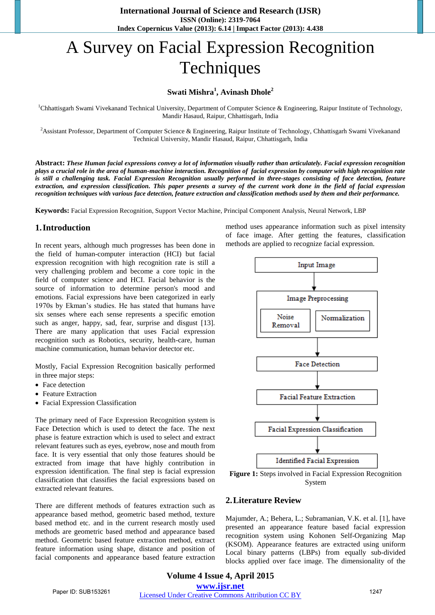# A Survey on Facial Expression Recognition Techniques

### **Swati Mishra<sup>1</sup> , Avinash Dhole<sup>2</sup>**

<sup>1</sup>Chhattisgarh Swami Vivekanand Technical University, Department of Computer Science & Engineering, Raipur Institute of Technology, Mandir Hasaud, Raipur, Chhattisgarh, India

<sup>2</sup>Assistant Professor, Department of Computer Science & Engineering, Raipur Institute of Technology, Chhattisgarh Swami Vivekanand Technical University, Mandir Hasaud, Raipur, Chhattisgarh, India

**Abstract:** *These Human facial expressions convey a lot of information visually rather than articulately. Facial expression recognition plays a crucial role in the area of human-machine interaction. Recognition of facial expression by computer with high recognition rate*  is still a challenging task. Facial Expression Recognition usually performed in three-stages consisting of face detection, feature *extraction, and expression classification. This paper presents a survey of the current work done in the field of facial expression recognition techniques with various face detection, feature extraction and classification methods used by them and their performance.* 

**Keywords:** Facial Expression Recognition, Support Vector Machine, Principal Component Analysis, Neural Network, LBP

#### **1.Introduction**

In recent years, although much progresses has been done in the field of human-computer interaction (HCI) but facial expression recognition with high recognition rate is still a very challenging problem and become a core topic in the field of computer science and HCI. Facial behavior is the source of information to determine person's mood and emotions. Facial expressions have been categorized in early 1970s by Ekman's studies. He has stated that humans have six senses where each sense represents a specific emotion such as anger, happy, sad, fear, surprise and disgust [13]. There are many application that uses Facial expression recognition such as Robotics, security, health-care, human machine communication, human behavior detector etc.

Mostly, Facial Expression Recognition basically performed in three major steps:

- Face detection
- Feature Extraction
- Facial Expression Classification

The primary need of Face Expression Recognition system is Face Detection which is used to detect the face. The next phase is feature extraction which is used to select and extract relevant features such as eyes, eyebrow, nose and mouth from face. It is very essential that only those features should be extracted from image that have highly contribution in expression identification. The final step is facial expression classification that classifies the facial expressions based on extracted relevant features.

There are different methods of features extraction such as appearance based method, geometric based method, texture based method etc. and in the current research mostly used methods are geometric based method and appearance based method. Geometric based feature extraction method, extract feature information using shape, distance and position of facial components and appearance based feature extraction method uses appearance information such as pixel intensity of face image. After getting the features, classification methods are applied to recognize facial expression.



**Figure 1:** Steps involved in Facial Expression Recognition System

#### **2.Literature Review**

Majumder, A.; Behera, L.; Subramanian, V.K. et al. [1], have presented an appearance feature based facial expression recognition system using Kohonen Self-Organizing Map (KSOM). Appearance features are extracted using uniform Local binary patterns (LBPs) from equally sub-divided blocks applied over face image. The dimensionality of the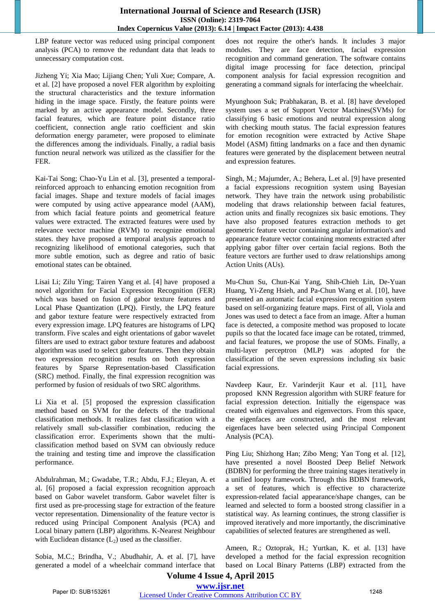LBP feature vector was reduced using principal component analysis (PCA) to remove the redundant data that leads to unnecessary computation cost.

Jizheng Yi; Xia Mao; Lijiang Chen; Yuli Xue; Compare, A. et al. [2] have proposed a novel FER algorithm by exploiting the structural characteristics and the texture information hiding in the image space. Firstly, the feature points were marked by an active appearance model. Secondly, three facial features, which are feature point distance ratio coefficient, connection angle ratio coefficient and skin deformation energy parameter, were proposed to eliminate the differences among the individuals. Finally, a radial basis function neural network was utilized as the classifier for the FER.

Kai-Tai Song; Chao-Yu Lin et al. [3], presented a temporalreinforced approach to enhancing emotion recognition from facial images. Shape and texture models of facial images were computed by using active appearance model (AAM), from which facial feature points and geometrical feature values were extracted. The extracted features were used by relevance vector machine (RVM) to recognize emotional states. they have proposed a temporal analysis approach to recognizing likelihood of emotional categories, such that more subtle emotion, such as degree and ratio of basic emotional states can be obtained.

Lisai Li; Zilu Ying; Tairen Yang et al. [4] have proposed a novel algorithm for Facial Expression Recognition (FER) which was based on fusion of gabor texture features and Local Phase Quantization (LPQ). Firstly, the LPQ feature and gabor texture feature were respectively extracted from every expression image. LPQ features are histograms of LPQ transform. Five scales and eight orientations of gabor wavelet filters are used to extract gabor texture features and adaboost algorithm was used to select gabor features. Then they obtain two expression recognition results on both expression features by Sparse Representation-based Classification (SRC) method. Finally, the final expression recognition was performed by fusion of residuals of two SRC algorithms.

Li Xia et al. [5] proposed the expression classification method based on SVM for the defects of the traditional classification methods. It realizes fast classification with a relatively small sub-classifier combination, reducing the classification error. Experiments shown that the multiclassification method based on SVM can obviously reduce the training and testing time and improve the classification performance.

Abdulrahman, M.; Gwadabe, T.R.; Abdu, F.J.; Eleyan, A. et al. [6] proposed a facial expression recognition approach based on Gabor wavelet transform. Gabor wavelet filter is first used as pre-processing stage for extraction of the feature vector representation. Dimensionality of the feature vector is reduced using Principal Component Analysis (PCA) and Local binary pattern (LBP) algorithms. K-Nearest Neighbour with Euclidean distance  $(L_2)$  used as the classifier.

Sobia, M.C.; Brindha, V.; Abudhahir, A. et al. [7], have generated a model of a wheelchair command interface that does not require the other's hands. It includes 3 major modules. They are face detection, facial expression recognition and command generation. The software contains digital image processing for face detection, principal component analysis for facial expression recognition and generating a command signals for interfacing the wheelchair.

Myunghoon Suk; Prabhakaran, B. et al. [8] have developed system uses a set of Support Vector Machines(SVMs) for classifying 6 basic emotions and neutral expression along with checking mouth status. The facial expression features for emotion recognition were extracted by Active Shape Model (ASM) fitting landmarks on a face and then dynamic features were generated by the displacement between neutral and expression features.

Singh, M.; Majumder, A.; Behera, L.et al. [9] have presented a facial expressions recognition system using Bayesian network. They have train the network using probabilistic modeling that draws relationship between facial features, action units and finally recognizes six basic emotions. They have also proposed features extraction methods to get geometric feature vector containing angular information's and appearance feature vector containing moments extracted after applying gabor filter over certain facial regions. Both the feature vectors are further used to draw relationships among Action Units (AUs).

Mu-Chun Su, Chun-Kai Yang, Shih-Chieh Lin, De-Yuan Huang, Yi-Zeng Hsieh, and Pa-Chun Wang et al. [10], have presented an automatic facial expression recognition system based on self-organizing feature maps. First of all, Viola and Jones was used to detect a face from an image. After a human face is detected, a composite method was proposed to locate pupils so that the located face image can be rotated, trimmed, and facial features, we propose the use of SOMs. Finally, a multi-layer perceptron (MLP) was adopted for the classification of the seven expressions including six basic facial expressions.

Navdeep Kaur, Er. Varinderjit Kaur et al. [11], have proposed KNN Regression algorithm with SURF feature for facial expression detection. Initially the eigenspace was created with eigenvalues and eigenvectors. From this space, the eigenfaces are constructed, and the most relevant eigenfaces have been selected using Principal Component Analysis (PCA).

Ping Liu; Shizhong Han; Zibo Meng; Yan Tong et al. [12], have presented a novel Boosted Deep Belief Network (BDBN) for performing the three training stages iteratively in a unified loopy framework. Through this BDBN framework, a set of features, which is effective to characterize expression-related facial appearance/shape changes, can be learned and selected to form a boosted strong classifier in a statistical way. As learning continues, the strong classifier is improved iteratively and more importantly, the discriminative capabilities of selected features are strengthened as well.

Ameen, R.; Oztoprak, H.; Yurtkan, K. et al. [13] have developed a method for the facial expression recognition based on Local Binary Patterns (LBP) extracted from the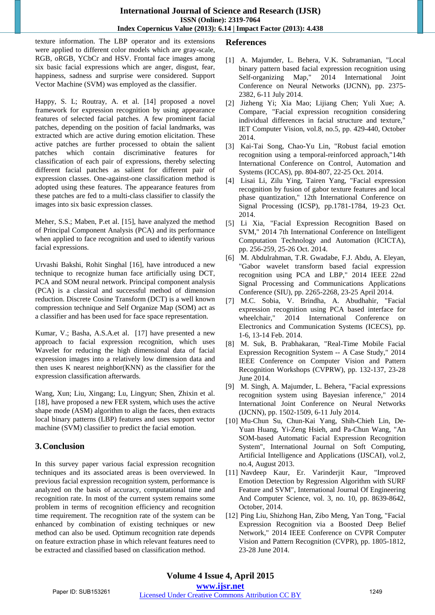texture information. The LBP operator and its extensions were applied to different color models which are gray-scale, RGB, oRGB, YCbCr and HSV. Frontal face images among six basic facial expressions which are anger, disgust, fear, happiness, sadness and surprise were considered. Support Vector Machine (SVM) was employed as the classifier.

Happy, S. L; Routray, A. et al. [14] proposed a novel framework for expression recognition by using appearance features of selected facial patches. A few prominent facial patches, depending on the position of facial landmarks, was extracted which are active during emotion elicitation. These active patches are further processed to obtain the salient patches which contain discriminative features for classification of each pair of expressions, thereby selecting different facial patches as salient for different pair of expression classes. One-against-one classification method is adopted using these features. The appearance features from these patches are fed to a multi-class classifier to classify the images into six basic expression classes.

Meher, S.S.; Maben, P.et al. [15], have analyzed the method of Principal Component Analysis (PCA) and its performance when applied to face recognition and used to identify various facial expressions.

Urvashi Bakshi, Rohit Singhal [16], have introduced a new technique to recognize human face artificially using DCT, PCA and SOM neural network. Principal component analysis (PCA) is a classical and successful method of dimension reduction. Discrete Cosine Transform (DCT) is a well known compression technique and Self Organize Map (SOM) act as a classifier and has been used for face space representation.

Kumar, V.; Basha, A.S.A.et al. [17] have presented a new approach to facial expression recognition, which uses Wavelet for reducing the high dimensional data of facial expression images into a relatively low dimension data and then uses K nearest neighbor(KNN) as the classifier for the expression classification afterwards.

Wang, Xun; Liu, Xingang; Lu, Lingyun; Shen, Zhixin et al. [18], have proposed a new FER system, which uses the active shape mode (ASM) algorithm to align the faces, then extracts local binary patterns (LBP) features and uses support vector machine (SVM) classifier to predict the facial emotion.

# **3.Conclusion**

In this survey paper various facial expression recognition techniques and its associated areas is been overviewed. In previous facial expression recognition system, performance is analyzed on the basis of accuracy, computational time and recognition rate. In most of the current system remains some problem in terms of recognition efficiency and recognition time requirement. The recognition rate of the system can be enhanced by combination of existing techniques or new method can also be used. Optimum recognition rate depends on feature extraction phase in which relevant features need to be extracted and classified based on classification method.

## **References**

- [1] A. Majumder, L. Behera, V.K. Subramanian, "Local binary pattern based facial expression recognition using Self-organizing Map," 2014 International Joint Conference on Neural Networks (IJCNN), pp. 2375- 2382, 6-11 July 2014.
- [2] Jizheng Yi; Xia Mao; Lijiang Chen; Yuli Xue; A. Compare, "Facial expression recognition considering individual differences in facial structure and texture," IET Computer Vision, vol.8, no.5, pp. 429-440, October 2014.
- [3] Kai-Tai Song, Chao-Yu Lin, "Robust facial emotion recognition using a temporal-reinforced approach,"14th International Conference on Control, Automation and Systems (ICCAS), pp. 804-807, 22-25 Oct. 2014.
- [4] Lisai Li, Zilu Ying, Tairen Yang, "Facial expression recognition by fusion of gabor texture features and local phase quantization," 12th International Conference on Signal Processing (ICSP), pp.1781-1784, 19-23 Oct. 2014.
- [5] Li Xia, "Facial Expression Recognition Based on SVM," 2014 7th International Conference on Intelligent Computation Technology and Automation (ICICTA), pp. 256-259, 25-26 Oct. 2014.
- [6] M. Abdulrahman, T.R. Gwadabe, F.J. Abdu, A. Eleyan, "Gabor wavelet transform based facial expression recognition using PCA and LBP," 2014 IEEE 22nd Signal Processing and Communications Applications Conference (SIU), pp. 2265-2268, 23-25 April 2014.
- [7] M.C. Sobia, V. Brindha, A. Abudhahir, "Facial expression recognition using PCA based interface for wheelchair," 2014 International Conference on Electronics and Communication Systems (ICECS), pp. 1-6, 13-14 Feb. 2014.
- [8] M. Suk, B. Prabhakaran, "Real-Time Mobile Facial Expression Recognition System -- A Case Study," 2014 IEEE Conference on Computer Vision and Pattern Recognition Workshops (CVPRW), pp. 132-137, 23-28 June 2014.
- [9] M. Singh, A. Majumder, L. Behera, "Facial expressions recognition system using Bayesian inference," 2014 International Joint Conference on Neural Networks (IJCNN), pp. 1502-1509, 6-11 July 2014.
- [10] Mu-Chun Su, Chun-Kai Yang, Shih-Chieh Lin, De-Yuan Huang, Yi-Zeng Hsieh, and Pa-Chun Wang, "An SOM-based Automatic Facial Expression Recognition System", International Journal on Soft Computing, Artificial Intelligence and Applications (IJSCAI), vol.2, no.4, August 2013.
- [11] Navdeep Kaur, Er. Varinderjit Kaur, "Improved Emotion Detection by Regression Algorithm with SURF Feature and SVM", International Journal Of Engineering And Computer Science, vol. 3, no. 10, pp. 8639-8642, October, 2014.
- [12] Ping Liu, Shizhong Han, Zibo Meng, Yan Tong, "Facial Expression Recognition via a Boosted Deep Belief Network," 2014 IEEE Conference on CVPR Computer Vision and Pattern Recognition (CVPR), pp. 1805-1812, 23-28 June 2014.